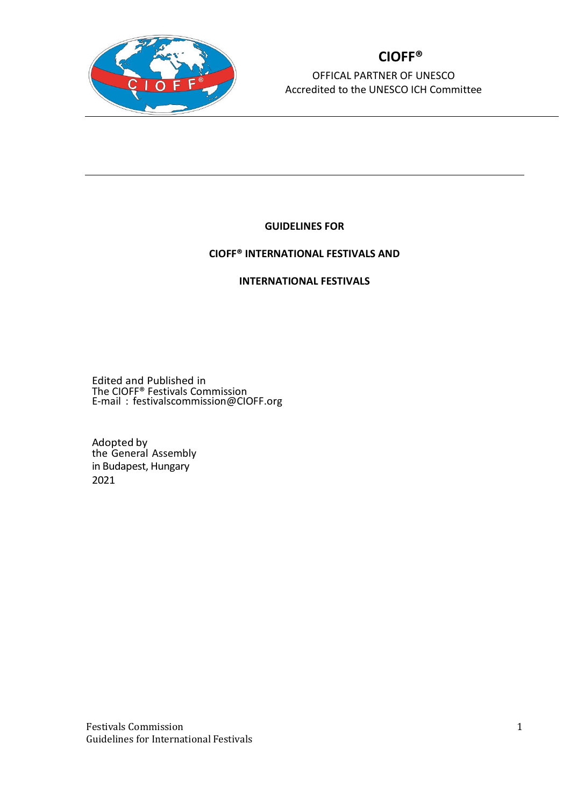

OFFICAL PARTNER OF UNESCO Accredited to the UNESCO ICH Committee

### **GUIDELINES FOR**

#### **CIOFF® INTERNATIONAL FESTIVALS AND**

#### **INTERNATIONAL FESTIVALS**

Edited and Published in The CIOFF® Festivals Commission E-mail : festivalscommission@CIOFF.org

Adopted by the General Assembly in Budapest, Hungary 2021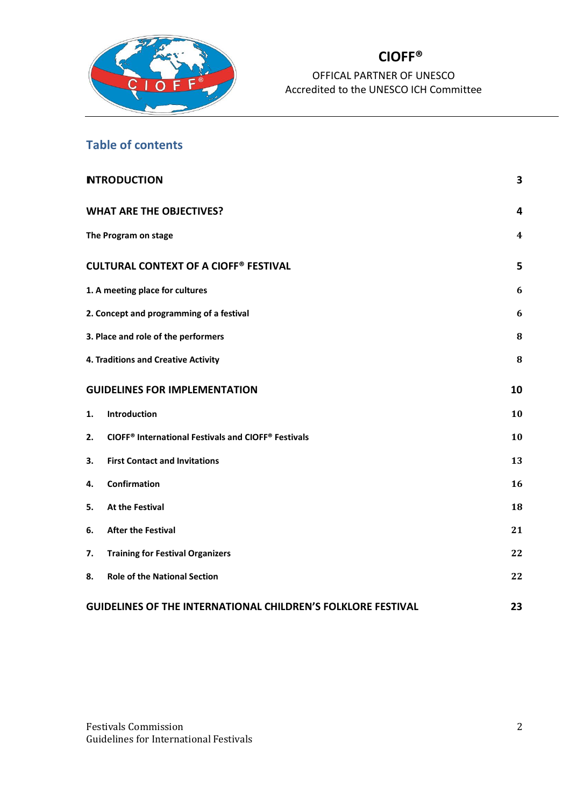

OFFICAL PARTNER OF UNESCO Accredited to the UNESCO ICH Committee

## **Table of contents**

|                                      | <b>NTRODUCTION</b>                                                               | 3  |
|--------------------------------------|----------------------------------------------------------------------------------|----|
|                                      | <b>WHAT ARE THE OBJECTIVES?</b>                                                  | 4  |
|                                      | The Program on stage                                                             | 4  |
|                                      | <b>CULTURAL CONTEXT OF A CIOFF® FESTIVAL</b>                                     | 5  |
|                                      | 1. A meeting place for cultures                                                  | 6  |
|                                      | 2. Concept and programming of a festival                                         | 6  |
|                                      | 3. Place and role of the performers                                              | 8  |
|                                      | 4. Traditions and Creative Activity                                              | 8  |
| <b>GUIDELINES FOR IMPLEMENTATION</b> |                                                                                  | 10 |
| 1.                                   | Introduction                                                                     | 10 |
| 2.                                   | <b>CIOFF<sup>®</sup> International Festivals and CIOFF<sup>®</sup> Festivals</b> | 10 |
| 3.                                   | <b>First Contact and Invitations</b>                                             | 13 |
| 4.                                   | Confirmation                                                                     | 16 |
| 5.                                   | <b>At the Festival</b>                                                           | 18 |
| 6.                                   | <b>After the Festival</b>                                                        | 21 |
| 7.                                   | <b>Training for Festival Organizers</b>                                          | 22 |
| 8.                                   | <b>Role of the National Section</b>                                              | 22 |
|                                      | <b>GUIDELINES OF THE INTERNATIONAL CHILDREN'S FOLKLORE FESTIVAL</b>              | 23 |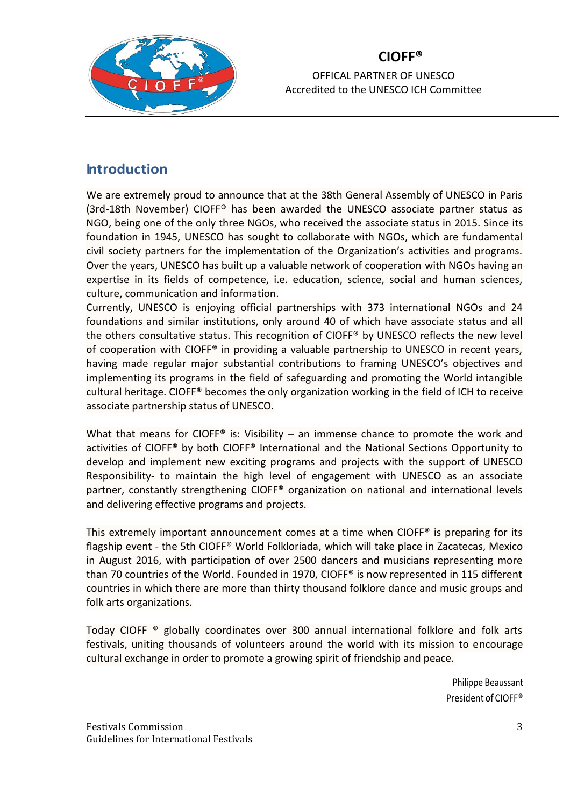

OFFICAL PARTNER OF UNESCO Accredited to the UNESCO ICH Committee

## <span id="page-2-0"></span>**Introduction**

We are extremely proud to announce that at the 38th General Assembly of UNESCO in Paris (3rd-18th November) CIOFF® has been awarded the UNESCO associate partner status as NGO, being one of the only three NGOs, who received the associate status in 2015. Since its foundation in 1945, UNESCO has sought to collaborate with NGOs, which are fundamental civil society partners for the implementation of the Organization's activities and programs. Over the years, UNESCO has built up a valuable network of cooperation with NGOs having an expertise in its fields of competence, i.e. education, science, social and human sciences, culture, communication and information.

Currently, UNESCO is enjoying official partnerships with 373 international NGOs and 24 foundations and similar institutions, only around 40 of which have associate status and all the others consultative status. This recognition of CIOFF® by UNESCO reflects the new level of cooperation with CIOFF® in providing a valuable partnership to UNESCO in recent years, having made regular major substantial contributions to framing UNESCO's objectives and implementing its programs in the field of safeguarding and promoting the World intangible cultural heritage. CIOFF® becomes the only organization working in the field of ICH to receive associate partnership status of UNESCO.

What that means for CIOFF<sup>®</sup> is: Visibility – an immense chance to promote the work and activities of CIOFF® by both CIOFF® International and the National Sections Opportunity to develop and implement new exciting programs and projects with the support of UNESCO Responsibility- to maintain the high level of engagement with UNESCO as an associate partner, constantly strengthening CIOFF® organization on national and international levels and delivering effective programs and projects.

This extremely important announcement comes at a time when CIOFF® is preparing for its flagship event - the 5th CIOFF® World Folkloriada, which will take place in Zacatecas, Mexico in August 2016, with participation of over 2500 dancers and musicians representing more than 70 countries of the World. Founded in 1970, CIOFF® is now represented in 115 different countries in which there are more than thirty thousand folklore dance and music groups and folk arts organizations.

Today CIOFF ® globally coordinates over 300 annual international folklore and folk arts festivals, uniting thousands of volunteers around the world with its mission to encourage cultural exchange in order to promote a growing spirit of friendship and peace.

> Philippe Beaussant President of CIOFF®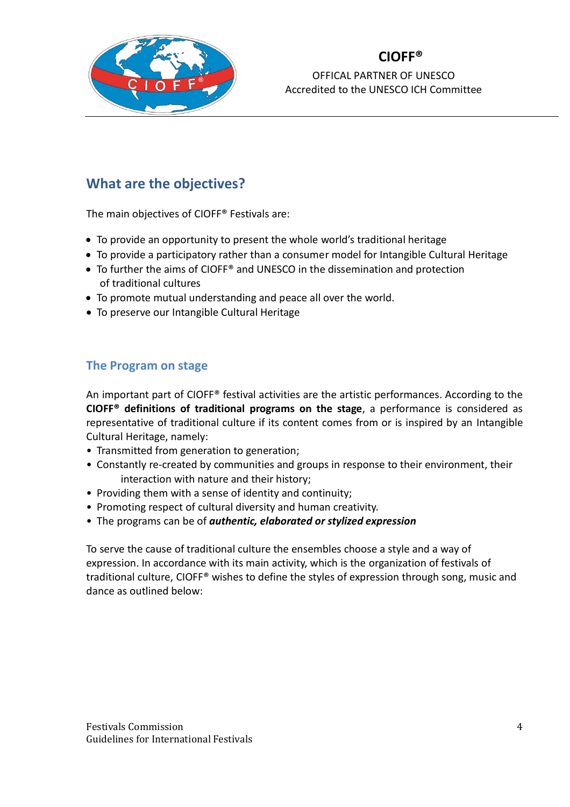

OFFICAL PARTNER OF UNESCO Accredited to the UNESCO ICH Committee

# <span id="page-3-0"></span>**What are the objectives?**

The main objectives of CIOFF® Festivals are:

- To provide an opportunity to present the whole world's traditional heritage
- To provide a participatory rather than a consumer model for Intangible Cultural Heritage
- To further the aims of CIOFF® and UNESCO in the dissemination and protection of traditional cultures
- To promote mutual understanding and peace all over the world.
- To preserve our Intangible Cultural Heritage

### <span id="page-3-1"></span>**The Program on stage**

An important part of CIOFF® festival activities are the artistic performances. According to the **CIOFF® definitions of traditional programs on the stage**, a performance is considered as representative of traditional culture if its content comes from or is inspired by an Intangible Cultural Heritage, namely:

- Transmitted from generation to generation;
- Constantly re-created by communities and groups in response to their environment, their interaction with nature and their history;
- Providing them with a sense of identity and continuity;
- Promoting respect of cultural diversity and human creativity.
- The programs can be of *authentic, elaborated or stylized expression*

To serve the cause of traditional culture the ensembles choose a style and a way of expression. In accordance with its main activity, which is the organization of festivals of traditional culture, CIOFF® wishes to define the styles of expression through song, music and dance as outlined below: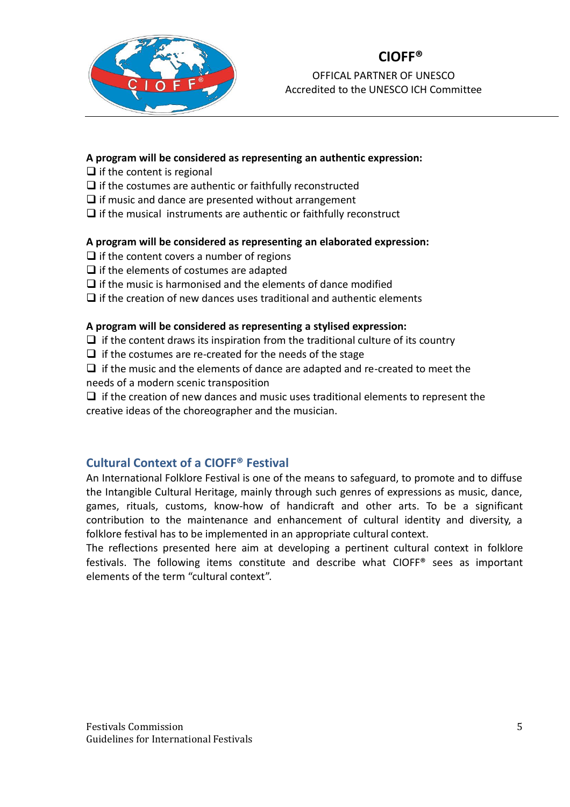

OFFICAL PARTNER OF UNESCO Accredited to the UNESCO ICH Committee

#### **A program will be considered as representing an authentic expression:**

- $\Box$  if the content is regional
- $\Box$  if the costumes are authentic or faithfully reconstructed
- $\Box$  if music and dance are presented without arrangement
- $\Box$  if the musical instruments are authentic or faithfully reconstruct

### **A program will be considered as representing an elaborated expression:**

- $\Box$  if the content covers a number of regions
- ❑ if the elements of costumes are adapted
- $\Box$  if the music is harmonised and the elements of dance modified
- $\Box$  if the creation of new dances uses traditional and authentic elements

### **A program will be considered as representing a stylised expression:**

- $\Box$  if the content draws its inspiration from the traditional culture of its country
- $\Box$  if the costumes are re-created for the needs of the stage
- ❑ if the music and the elements of dance are adapted and re-created to meet the needs of a modern scenic transposition
- $\Box$  if the creation of new dances and music uses traditional elements to represent the creative ideas of the choreographer and the musician.

### <span id="page-4-0"></span>**Cultural Context of a CIOFF® Festival**

An International Folklore Festival is one of the means to safeguard, to promote and to diffuse the Intangible Cultural Heritage, mainly through such genres of expressions as music, dance, games, rituals, customs, know-how of handicraft and other arts. To be a significant contribution to the maintenance and enhancement of cultural identity and diversity, a folklore festival has to be implemented in an appropriate cultural context.

The reflections presented here aim at developing a pertinent cultural context in folklore festivals. The following items constitute and describe what CIOFF® sees as important elements of the term "cultural context".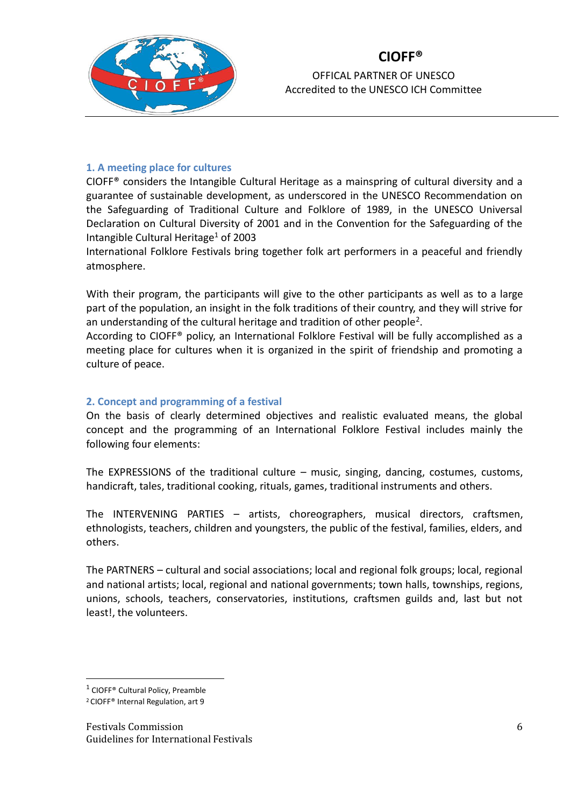

OFFICAL PARTNER OF UNESCO Accredited to the UNESCO ICH Committee

#### <span id="page-5-0"></span>**1. A meeting place for cultures**

CIOFF® considers the Intangible Cultural Heritage as a mainspring of cultural diversity and a guarantee of sustainable development, as underscored in the UNESCO Recommendation on the Safeguarding of Traditional Culture and Folklore of 1989, in the UNESCO Universal Declaration on Cultural Diversity of 2001 and in the Convention for the Safeguarding of the Intangible Cultural Heritage $1$  of 2003

International Folklore Festivals bring together folk art performers in a peaceful and friendly atmosphere.

With their program, the participants will give to the other participants as well as to a large part of the population, an insight in the folk traditions of their country, and they will strive for an understanding of the cultural heritage and tradition of other people<sup>2</sup>.

According to CIOFF® policy, an International Folklore Festival will be fully accomplished as a meeting place for cultures when it is organized in the spirit of friendship and promoting a culture of peace.

#### <span id="page-5-1"></span>**2. Concept and programming of a festival**

On the basis of clearly determined objectives and realistic evaluated means, the global concept and the programming of an International Folklore Festival includes mainly the following four elements:

The EXPRESSIONS of the traditional culture – music, singing, dancing, costumes, customs, handicraft, tales, traditional cooking, rituals, games, traditional instruments and others.

The INTERVENING PARTIES – artists, choreographers, musical directors, craftsmen, ethnologists, teachers, children and youngsters, the public of the festival, families, elders, and others.

The PARTNERS – cultural and social associations; local and regional folk groups; local, regional and national artists; local, regional and national governments; town halls, townships, regions, unions, schools, teachers, conservatories, institutions, craftsmen guilds and, last but not least!, the volunteers.

<sup>&</sup>lt;sup>1</sup> CIOFF<sup>®</sup> Cultural Policy, Preamble

<sup>2</sup> CIOFF® Internal Regulation, art 9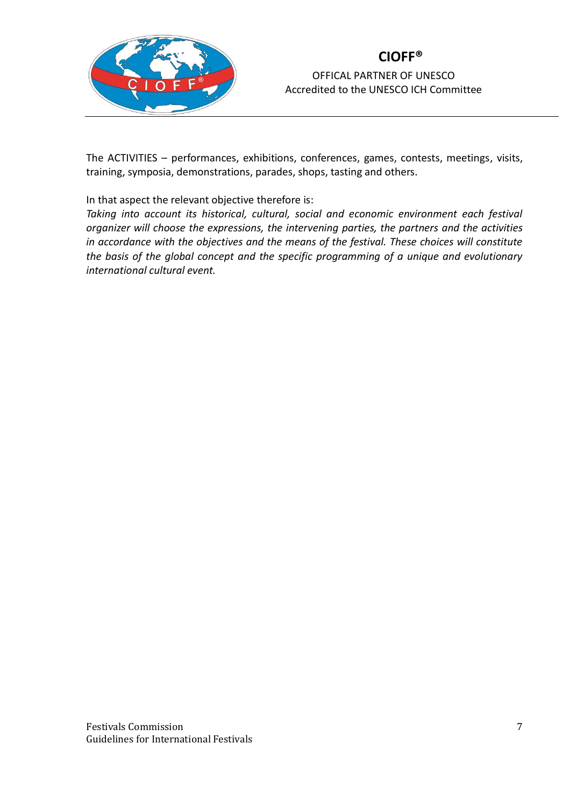

OFFICAL PARTNER OF UNESCO Accredited to the UNESCO ICH Committee

The ACTIVITIES – performances, exhibitions, conferences, games, contests, meetings, visits, training, symposia, demonstrations, parades, shops, tasting and others.

In that aspect the relevant objective therefore is:

*Taking into account its historical, cultural, social and economic environment each festival organizer will choose the expressions, the intervening parties, the partners and the activities in accordance with the objectives and the means of the festival. These choices will constitute the basis of the global concept and the specific programming of a unique and evolutionary international cultural event.*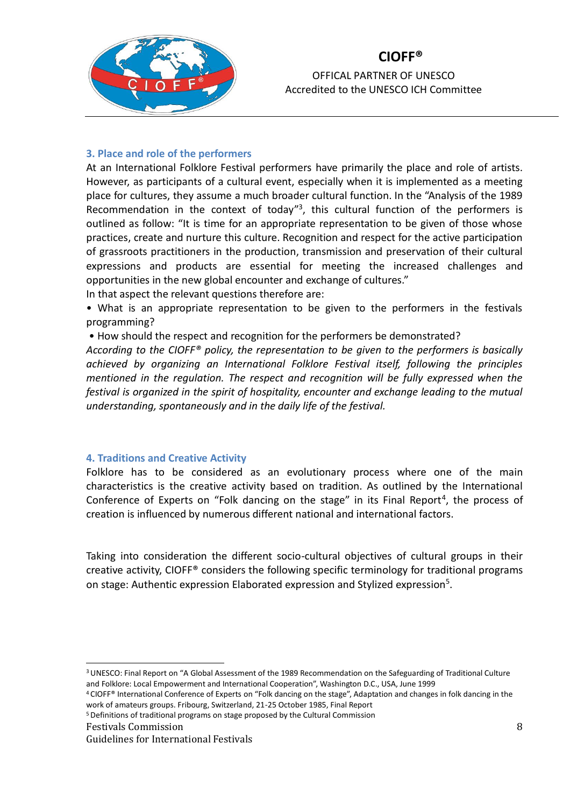

OFFICAL PARTNER OF UNESCO Accredited to the UNESCO ICH Committee

#### <span id="page-7-0"></span>**3. Place and role of the performers**

At an International Folklore Festival performers have primarily the place and role of artists. However, as participants of a cultural event, especially when it is implemented as a meeting place for cultures, they assume a much broader cultural function. In the "Analysis of the 1989 Recommendation in the context of today"<sup>3</sup>, this cultural function of the performers is outlined as follow: "It is time for an appropriate representation to be given of those whose practices, create and nurture this culture. Recognition and respect for the active participation of grassroots practitioners in the production, transmission and preservation of their cultural expressions and products are essential for meeting the increased challenges and opportunities in the new global encounter and exchange of cultures." In that aspect the relevant questions therefore are:

• What is an appropriate representation to be given to the performers in the festivals programming?

• How should the respect and recognition for the performers be demonstrated?

*According to the CIOFF® policy, the representation to be given to the performers is basically achieved by organizing an International Folklore Festival itself, following the principles mentioned in the regulation. The respect and recognition will be fully expressed when the festival is organized in the spirit of hospitality, encounter and exchange leading to the mutual understanding, spontaneously and in the daily life of the festival.* 

### <span id="page-7-1"></span>**4. Traditions and Creative Activity**

Folklore has to be considered as an evolutionary process where one of the main characteristics is the creative activity based on tradition. As outlined by the International Conference of Experts on "Folk dancing on the stage" in its Final Report<sup>4</sup>, the process of creation is influenced by numerous different national and international factors.

Taking into consideration the different socio-cultural objectives of cultural groups in their creative activity, CIOFF® considers the following specific terminology for traditional programs on stage: Authentic expression Elaborated expression and Stylized expression<sup>5</sup>.

<sup>5</sup> Definitions of traditional programs on stage proposed by the Cultural Commission

<sup>3</sup>UNESCO: Final Report on "A Global Assessment of the 1989 Recommendation on the Safeguarding of Traditional Culture and Folklore: Local Empowerment and International Cooperation", Washington D.C., USA, June 1999

<sup>4</sup> CIOFF® International Conference of Experts on "Folk dancing on the stage", Adaptation and changes in folk dancing in the work of amateurs groups. Fribourg, Switzerland, 21-25 October 1985, Final Report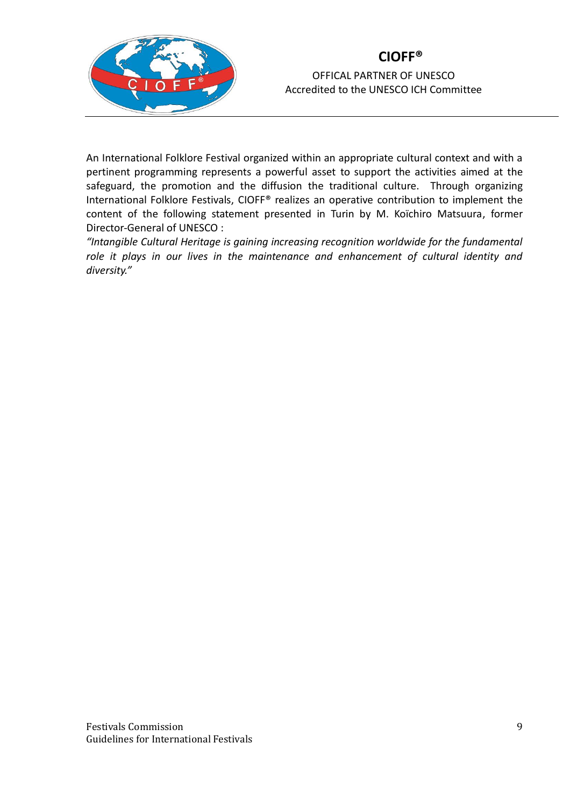

OFFICAL PARTNER OF UNESCO Accredited to the UNESCO ICH Committee

An International Folklore Festival organized within an appropriate cultural context and with a pertinent programming represents a powerful asset to support the activities aimed at the safeguard, the promotion and the diffusion the traditional culture. Through organizing International Folklore Festivals, CIOFF® realizes an operative contribution to implement the content of the following statement presented in Turin by M. Koïchiro Matsuura, former Director-General of UNESCO :

*"Intangible Cultural Heritage is gaining increasing recognition worldwide for the fundamental role it plays in our lives in the maintenance and enhancement of cultural identity and diversity."*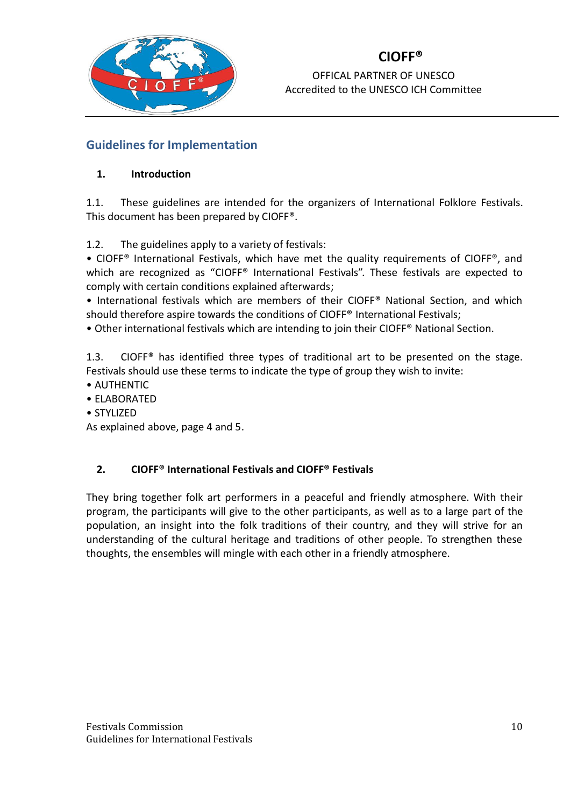

OFFICAL PARTNER OF UNESCO Accredited to the UNESCO ICH Committee

### <span id="page-9-0"></span>**Guidelines for Implementation**

### <span id="page-9-1"></span>**1. Introduction**

1.1. These guidelines are intended for the organizers of International Folklore Festivals. This document has been prepared by CIOFF®.

1.2. The guidelines apply to a variety of festivals:

• CIOFF® International Festivals, which have met the quality requirements of CIOFF®, and which are recognized as "CIOFF® International Festivals". These festivals are expected to comply with certain conditions explained afterwards;

• International festivals which are members of their CIOFF® National Section, and which should therefore aspire towards the conditions of CIOFF® International Festivals;

• Other international festivals which are intending to join their CIOFF® National Section.

1.3. CIOFF® has identified three types of traditional art to be presented on the stage. Festivals should use these terms to indicate the type of group they wish to invite:

- AUTHENTIC
- ELABORATED
- STYLIZED

As explained above, page 4 and 5.

### <span id="page-9-2"></span>**2. CIOFF® International Festivals and CIOFF® Festivals**

They bring together folk art performers in a peaceful and friendly atmosphere. With their program, the participants will give to the other participants, as well as to a large part of the population, an insight into the folk traditions of their country, and they will strive for an understanding of the cultural heritage and traditions of other people. To strengthen these thoughts, the ensembles will mingle with each other in a friendly atmosphere.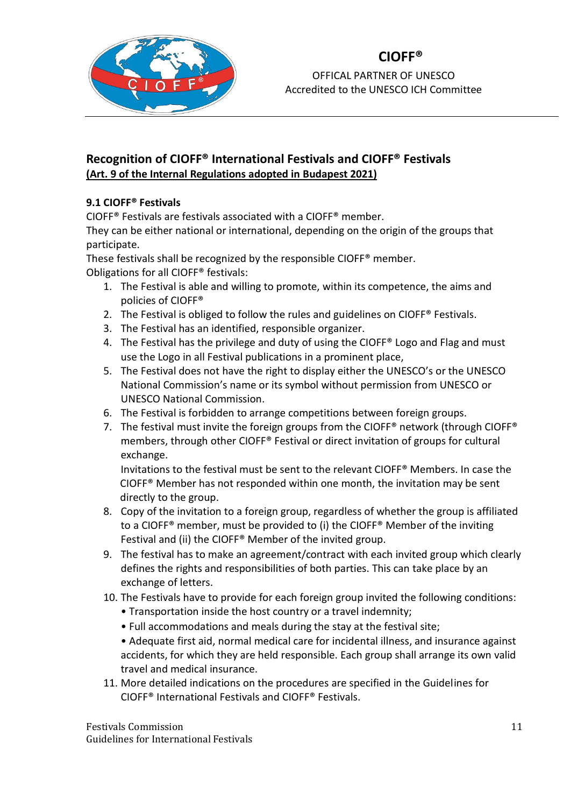

OFFICAL PARTNER OF UNESCO Accredited to the UNESCO ICH Committee

### **Recognition of CIOFF® International Festivals and CIOFF® Festivals (Art. 9 of the Internal Regulations adopted in Budapest 2021)**

### **9.1 CIOFF® Festivals**

CIOFF® Festivals are festivals associated with a CIOFF® member.

They can be either national or international, depending on the origin of the groups that participate.

These festivals shall be recognized by the responsible CIOFF® member. Obligations for all CIOFF® festivals:

- 1. The Festival is able and willing to promote, within its competence, the aims and policies of CIOFF®
- 2. The Festival is obliged to follow the rules and guidelines on CIOFF® Festivals.
- 3. The Festival has an identified, responsible organizer.
- 4. The Festival has the privilege and duty of using the CIOFF<sup>®</sup> Logo and Flag and must use the Logo in all Festival publications in a prominent place,
- 5. The Festival does not have the right to display either the UNESCO's or the UNESCO National Commission's name or its symbol without permission from UNESCO or UNESCO National Commission.
- 6. The Festival is forbidden to arrange competitions between foreign groups.
- 7. The festival must invite the foreign groups from the CIOFF® network (through CIOFF® members, through other CIOFF® Festival or direct invitation of groups for cultural exchange.

Invitations to the festival must be sent to the relevant CIOFF® Members. In case the CIOFF® Member has not responded within one month, the invitation may be sent directly to the group.

- 8. Copy of the invitation to a foreign group, regardless of whether the group is affiliated to a CIOFF® member, must be provided to (i) the CIOFF® Member of the inviting Festival and (ii) the CIOFF® Member of the invited group.
- 9. The festival has to make an agreement/contract with each invited group which clearly defines the rights and responsibilities of both parties. This can take place by an exchange of letters.
- 10. The Festivals have to provide for each foreign group invited the following conditions:
	- Transportation inside the host country or a travel indemnity;
	- Full accommodations and meals during the stay at the festival site;

• Adequate first aid, normal medical care for incidental illness, and insurance against accidents, for which they are held responsible. Each group shall arrange its own valid travel and medical insurance.

11. More detailed indications on the procedures are specified in the Guidelines for CIOFF® International Festivals and CIOFF® Festivals.

Festivals Commission Guidelines for International Festivals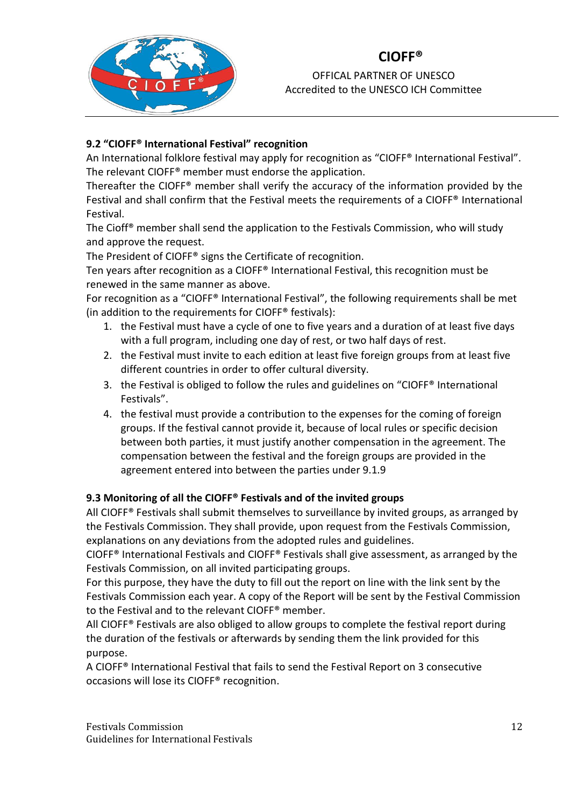

OFFICAL PARTNER OF UNESCO Accredited to the UNESCO ICH Committee

### **9.2 "CIOFF® International Festival" recognition**

An International folklore festival may apply for recognition as "CIOFF® International Festival". The relevant CIOFF® member must endorse the application.

Thereafter the CIOFF® member shall verify the accuracy of the information provided by the Festival and shall confirm that the Festival meets the requirements of a CIOFF® International Festival.

The Cioff® member shall send the application to the Festivals Commission, who will study and approve the request.

The President of CIOFF® signs the Certificate of recognition.

Ten years after recognition as a CIOFF® International Festival, this recognition must be renewed in the same manner as above.

For recognition as a "CIOFF® International Festival", the following requirements shall be met (in addition to the requirements for CIOFF® festivals):

- 1. the Festival must have a cycle of one to five years and a duration of at least five days with a full program, including one day of rest, or two half days of rest.
- 2. the Festival must invite to each edition at least five foreign groups from at least five different countries in order to offer cultural diversity.
- 3. the Festival is obliged to follow the rules and guidelines on "CIOFF® International Festivals".
- 4. the festival must provide a contribution to the expenses for the coming of foreign groups. If the festival cannot provide it, because of local rules or specific decision between both parties, it must justify another compensation in the agreement. The compensation between the festival and the foreign groups are provided in the agreement entered into between the parties under 9.1.9

### **9.3 Monitoring of all the CIOFF® Festivals and of the invited groups**

All CIOFF® Festivals shall submit themselves to surveillance by invited groups, as arranged by the Festivals Commission. They shall provide, upon request from the Festivals Commission, explanations on any deviations from the adopted rules and guidelines.

CIOFF® International Festivals and CIOFF® Festivals shall give assessment, as arranged by the Festivals Commission, on all invited participating groups.

For this purpose, they have the duty to fill out the report on line with the link sent by the Festivals Commission each year. A copy of the Report will be sent by the Festival Commission to the Festival and to the relevant CIOFF® member.

All CIOFF® Festivals are also obliged to allow groups to complete the festival report during the duration of the festivals or afterwards by sending them the link provided for this purpose.

A CIOFF® International Festival that fails to send the Festival Report on 3 consecutive occasions will lose its CIOFF® recognition.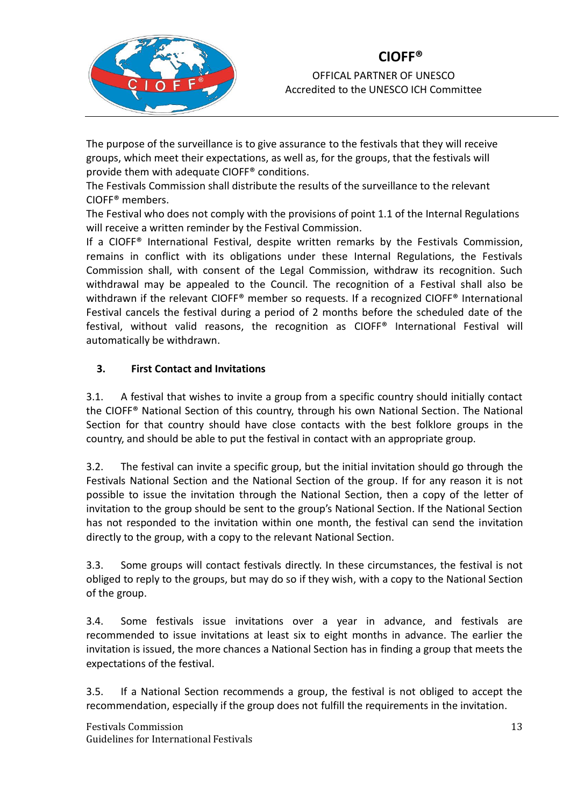

OFFICAL PARTNER OF UNESCO Accredited to the UNESCO ICH Committee

The purpose of the surveillance is to give assurance to the festivals that they will receive groups, which meet their expectations, as well as, for the groups, that the festivals will provide them with adequate CIOFF® conditions.

The Festivals Commission shall distribute the results of the surveillance to the relevant CIOFF® members.

The Festival who does not comply with the provisions of point 1.1 of the Internal Regulations will receive a written reminder by the Festival Commission.

If a CIOFF® International Festival, despite written remarks by the Festivals Commission, remains in conflict with its obligations under these Internal Regulations, the Festivals Commission shall, with consent of the Legal Commission, withdraw its recognition. Such withdrawal may be appealed to the Council. The recognition of a Festival shall also be withdrawn if the relevant CIOFF® member so requests. If a recognized CIOFF® International Festival cancels the festival during a period of 2 months before the scheduled date of the festival, without valid reasons, the recognition as CIOFF® International Festival will automatically be withdrawn.

### <span id="page-12-0"></span>**3. First Contact and Invitations**

3.1. A festival that wishes to invite a group from a specific country should initially contact the CIOFF® National Section of this country, through his own National Section. The National Section for that country should have close contacts with the best folklore groups in the country, and should be able to put the festival in contact with an appropriate group.

3.2. The festival can invite a specific group, but the initial invitation should go through the Festivals National Section and the National Section of the group. If for any reason it is not possible to issue the invitation through the National Section, then a copy of the letter of invitation to the group should be sent to the group's National Section. If the National Section has not responded to the invitation within one month, the festival can send the invitation directly to the group, with a copy to the relevant National Section.

3.3. Some groups will contact festivals directly. In these circumstances, the festival is not obliged to reply to the groups, but may do so if they wish, with a copy to the National Section of the group.

3.4. Some festivals issue invitations over a year in advance, and festivals are recommended to issue invitations at least six to eight months in advance. The earlier the invitation is issued, the more chances a National Section has in finding a group that meets the expectations of the festival.

3.5. If a National Section recommends a group, the festival is not obliged to accept the recommendation, especially if the group does not fulfill the requirements in the invitation.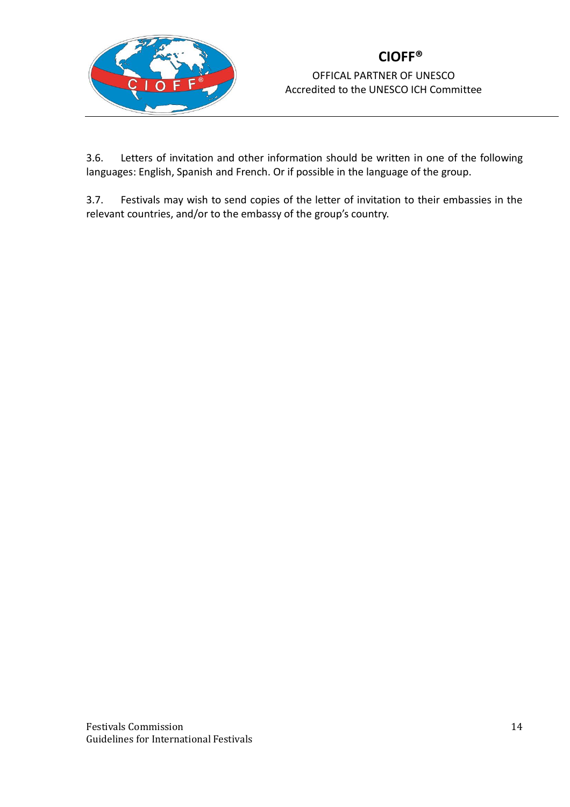

OFFICAL PARTNER OF UNESCO Accredited to the UNESCO ICH Committee

3.6. Letters of invitation and other information should be written in one of the following languages: English, Spanish and French. Or if possible in the language of the group.

3.7. Festivals may wish to send copies of the letter of invitation to their embassies in the relevant countries, and/or to the embassy of the group's country.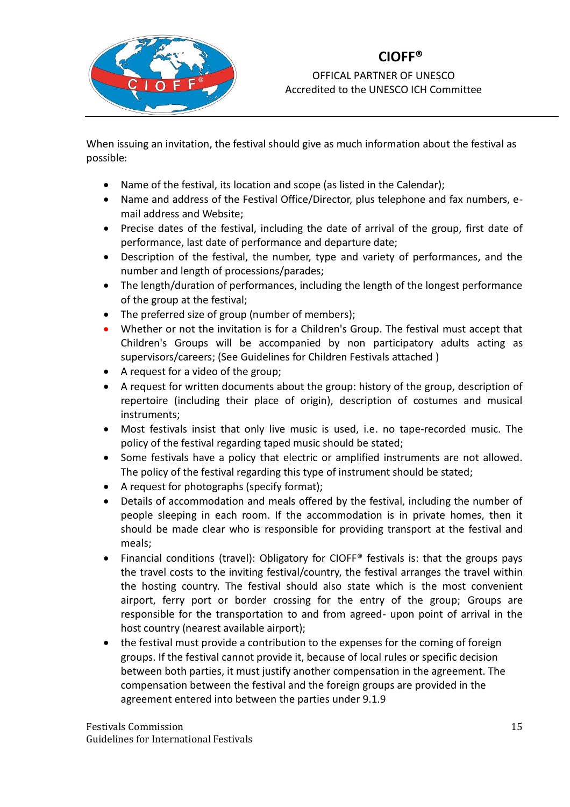

#### OFFICAL PARTNER OF UNESCO Accredited to the UNESCO ICH Committee

When issuing an invitation, the festival should give as much information about the festival as possible:

- Name of the festival, its location and scope (as listed in the Calendar);
- Name and address of the Festival Office/Director, plus telephone and fax numbers, email address and Website;
- Precise dates of the festival, including the date of arrival of the group, first date of performance, last date of performance and departure date;
- Description of the festival, the number, type and variety of performances, and the number and length of processions/parades;
- The length/duration of performances, including the length of the longest performance of the group at the festival;
- The preferred size of group (number of members);
- Whether or not the invitation is for a Children's Group. The festival must accept that Children's Groups will be accompanied by non participatory adults acting as supervisors/careers; (See Guidelines for Children Festivals attached )
- A request for a video of the group;
- A request for written documents about the group: history of the group, description of repertoire (including their place of origin), description of costumes and musical instruments;
- Most festivals insist that only live music is used, i.e. no tape-recorded music. The policy of the festival regarding taped music should be stated;
- Some festivals have a policy that electric or amplified instruments are not allowed. The policy of the festival regarding this type of instrument should be stated;
- A request for photographs (specify format);
- Details of accommodation and meals offered by the festival, including the number of people sleeping in each room. If the accommodation is in private homes, then it should be made clear who is responsible for providing transport at the festival and meals;
- Financial conditions (travel): Obligatory for CIOFF® festivals is: that the groups pays the travel costs to the inviting festival/country, the festival arranges the travel within the hosting country. The festival should also state which is the most convenient airport, ferry port or border crossing for the entry of the group; Groups are responsible for the transportation to and from agreed- upon point of arrival in the host country (nearest available airport);
- the festival must provide a contribution to the expenses for the coming of foreign groups. If the festival cannot provide it, because of local rules or specific decision between both parties, it must justify another compensation in the agreement. The compensation between the festival and the foreign groups are provided in the agreement entered into between the parties under 9.1.9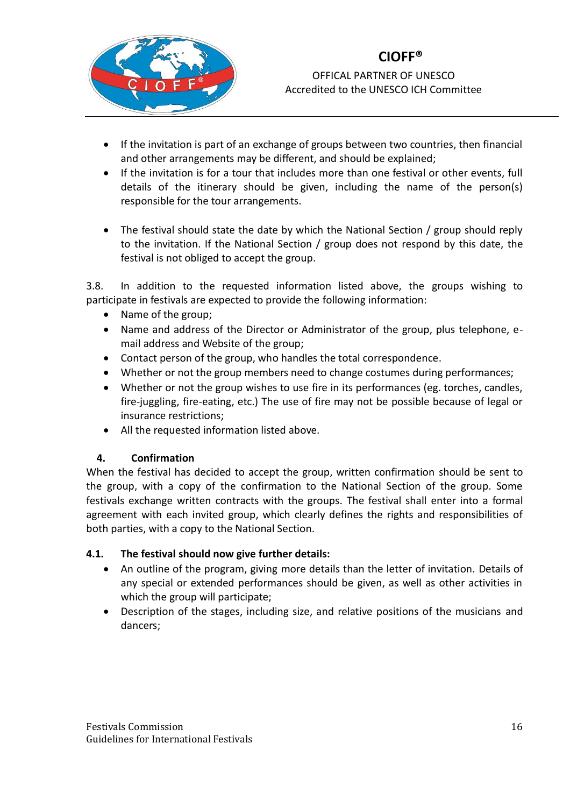

OFFICAL PARTNER OF UNESCO Accredited to the UNESCO ICH Committee

- If the invitation is part of an exchange of groups between two countries, then financial and other arrangements may be different, and should be explained;
- If the invitation is for a tour that includes more than one festival or other events, full details of the itinerary should be given, including the name of the person(s) responsible for the tour arrangements.
- The festival should state the date by which the National Section / group should reply to the invitation. If the National Section / group does not respond by this date, the festival is not obliged to accept the group.

3.8. In addition to the requested information listed above, the groups wishing to participate in festivals are expected to provide the following information:

- Name of the group;
- Name and address of the Director or Administrator of the group, plus telephone, email address and Website of the group;
- Contact person of the group, who handles the total correspondence.
- Whether or not the group members need to change costumes during performances;
- Whether or not the group wishes to use fire in its performances (eg. torches, candles, fire-juggling, fire-eating, etc.) The use of fire may not be possible because of legal or insurance restrictions;
- All the requested information listed above.

### <span id="page-15-0"></span>**4. Confirmation**

When the festival has decided to accept the group, written confirmation should be sent to the group, with a copy of the confirmation to the National Section of the group. Some festivals exchange written contracts with the groups. The festival shall enter into a formal agreement with each invited group, which clearly defines the rights and responsibilities of both parties, with a copy to the National Section.

### **4.1. The festival should now give further details:**

- An outline of the program, giving more details than the letter of invitation. Details of any special or extended performances should be given, as well as other activities in which the group will participate;
- Description of the stages, including size, and relative positions of the musicians and dancers;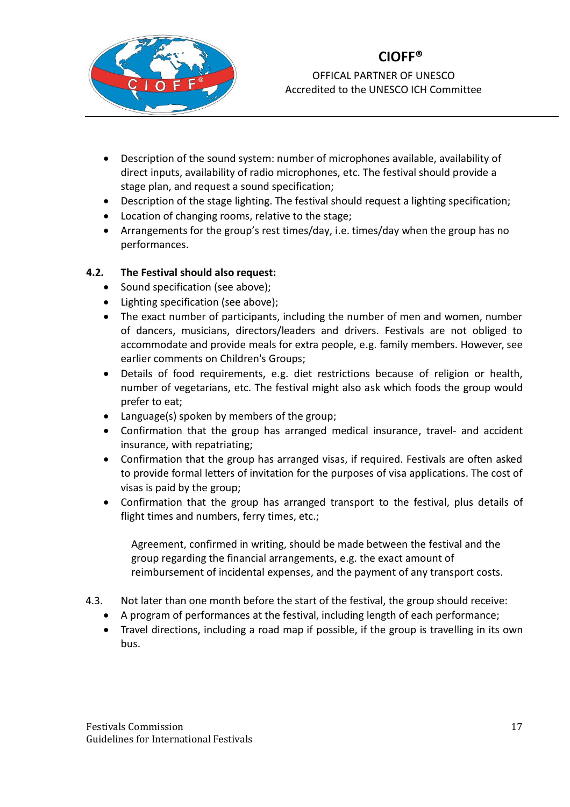

OFFICAL PARTNER OF UNESCO Accredited to the UNESCO ICH Committee

- Description of the sound system: number of microphones available, availability of direct inputs, availability of radio microphones, etc. The festival should provide a stage plan, and request a sound specification;
- Description of the stage lighting. The festival should request a lighting specification;
- Location of changing rooms, relative to the stage;
- Arrangements for the group's rest times/day, i.e. times/day when the group has no performances.

### **4.2. The Festival should also request:**

- Sound specification (see above);
- Lighting specification (see above);
- The exact number of participants, including the number of men and women, number of dancers, musicians, directors/leaders and drivers. Festivals are not obliged to accommodate and provide meals for extra people, e.g. family members. However, see earlier comments on Children's Groups;
- Details of food requirements, e.g. diet restrictions because of religion or health, number of vegetarians, etc. The festival might also ask which foods the group would prefer to eat;
- Language(s) spoken by members of the group;
- Confirmation that the group has arranged medical insurance, travel- and accident insurance, with repatriating;
- Confirmation that the group has arranged visas, if required. Festivals are often asked to provide formal letters of invitation for the purposes of visa applications. The cost of visas is paid by the group;
- Confirmation that the group has arranged transport to the festival, plus details of flight times and numbers, ferry times, etc.;

Agreement, confirmed in writing, should be made between the festival and the group regarding the financial arrangements, e.g. the exact amount of reimbursement of incidental expenses, and the payment of any transport costs.

- 4.3. Not later than one month before the start of the festival, the group should receive:
	- A program of performances at the festival, including length of each performance;
	- Travel directions, including a road map if possible, if the group is travelling in its own bus.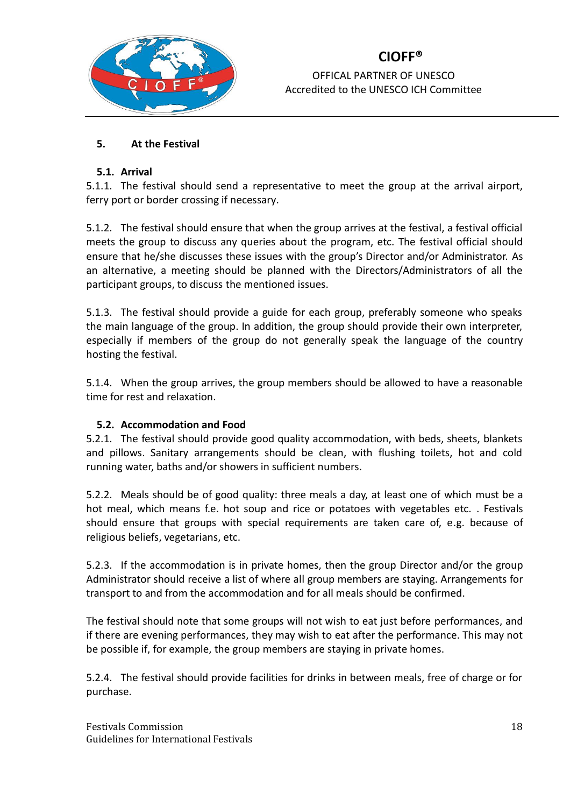

OFFICAL PARTNER OF UNESCO Accredited to the UNESCO ICH Committee

### <span id="page-17-0"></span>**5. At the Festival**

### **5.1. Arrival**

5.1.1. The festival should send a representative to meet the group at the arrival airport, ferry port or border crossing if necessary.

5.1.2. The festival should ensure that when the group arrives at the festival, a festival official meets the group to discuss any queries about the program, etc. The festival official should ensure that he/she discusses these issues with the group's Director and/or Administrator. As an alternative, a meeting should be planned with the Directors/Administrators of all the participant groups, to discuss the mentioned issues.

5.1.3. The festival should provide a guide for each group, preferably someone who speaks the main language of the group. In addition, the group should provide their own interpreter, especially if members of the group do not generally speak the language of the country hosting the festival.

5.1.4. When the group arrives, the group members should be allowed to have a reasonable time for rest and relaxation.

### **5.2. Accommodation and Food**

5.2.1. The festival should provide good quality accommodation, with beds, sheets, blankets and pillows. Sanitary arrangements should be clean, with flushing toilets, hot and cold running water, baths and/or showers in sufficient numbers.

5.2.2. Meals should be of good quality: three meals a day, at least one of which must be a hot meal, which means f.e. hot soup and rice or potatoes with vegetables etc. . Festivals should ensure that groups with special requirements are taken care of, e.g. because of religious beliefs, vegetarians, etc.

5.2.3. If the accommodation is in private homes, then the group Director and/or the group Administrator should receive a list of where all group members are staying. Arrangements for transport to and from the accommodation and for all meals should be confirmed.

The festival should note that some groups will not wish to eat just before performances, and if there are evening performances, they may wish to eat after the performance. This may not be possible if, for example, the group members are staying in private homes.

5.2.4. The festival should provide facilities for drinks in between meals, free of charge or for purchase.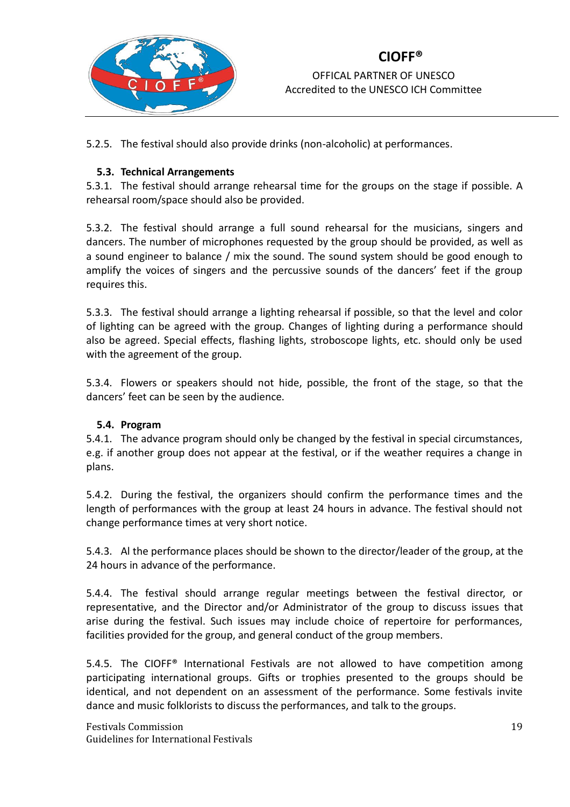

#### OFFICAL PARTNER OF UNESCO Accredited to the UNESCO ICH Committee

5.2.5. The festival should also provide drinks (non-alcoholic) at performances.

### **5.3. Technical Arrangements**

5.3.1. The festival should arrange rehearsal time for the groups on the stage if possible. A rehearsal room/space should also be provided.

5.3.2. The festival should arrange a full sound rehearsal for the musicians, singers and dancers. The number of microphones requested by the group should be provided, as well as a sound engineer to balance / mix the sound. The sound system should be good enough to amplify the voices of singers and the percussive sounds of the dancers' feet if the group requires this.

5.3.3. The festival should arrange a lighting rehearsal if possible, so that the level and color of lighting can be agreed with the group. Changes of lighting during a performance should also be agreed. Special effects, flashing lights, stroboscope lights, etc. should only be used with the agreement of the group.

5.3.4. Flowers or speakers should not hide, possible, the front of the stage, so that the dancers' feet can be seen by the audience.

### **5.4. Program**

5.4.1. The advance program should only be changed by the festival in special circumstances, e.g. if another group does not appear at the festival, or if the weather requires a change in plans.

5.4.2. During the festival, the organizers should confirm the performance times and the length of performances with the group at least 24 hours in advance. The festival should not change performance times at very short notice.

5.4.3. Al the performance places should be shown to the director/leader of the group, at the 24 hours in advance of the performance.

5.4.4. The festival should arrange regular meetings between the festival director, or representative, and the Director and/or Administrator of the group to discuss issues that arise during the festival. Such issues may include choice of repertoire for performances, facilities provided for the group, and general conduct of the group members.

5.4.5. The CIOFF® International Festivals are not allowed to have competition among participating international groups. Gifts or trophies presented to the groups should be identical, and not dependent on an assessment of the performance. Some festivals invite dance and music folklorists to discuss the performances, and talk to the groups.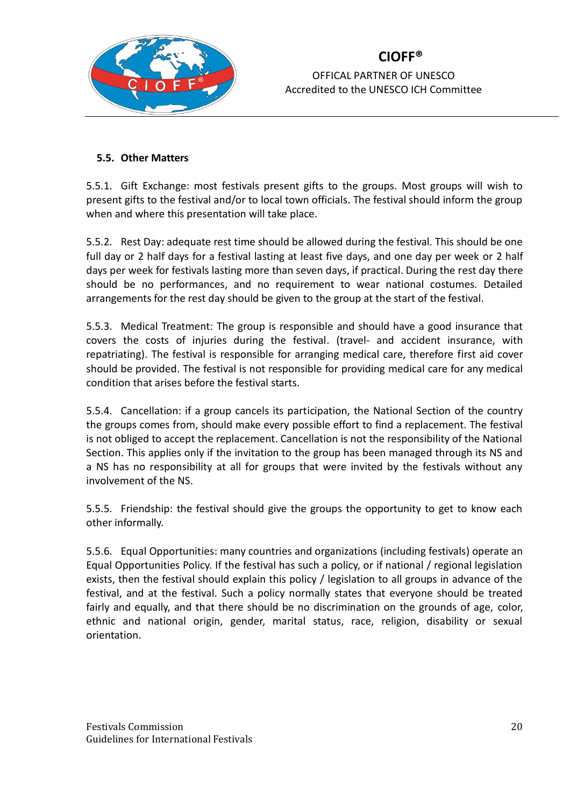

OFFICAL PARTNER OF UNESCO Accredited to the UNESCO ICH Committee

### **5.5. Other Matters**

5.5.1. Gift Exchange: most festivals present gifts to the groups. Most groups will wish to present gifts to the festival and/or to local town officials. The festival should inform the group when and where this presentation will take place.

5.5.2. Rest Day: adequate rest time should be allowed during the festival. This should be one full day or 2 half days for a festival lasting at least five days, and one day per week or 2 half days per week for festivals lasting more than seven days, if practical. During the rest day there should be no performances, and no requirement to wear national costumes. Detailed arrangements for the rest day should be given to the group at the start of the festival.

5.5.3. Medical Treatment: The group is responsible and should have a good insurance that covers the costs of injuries during the festival. (travel- and accident insurance, with repatriating). The festival is responsible for arranging medical care, therefore first aid cover should be provided. The festival is not responsible for providing medical care for any medical condition that arises before the festival starts.

5.5.4. Cancellation: if a group cancels its participation, the National Section of the country the groups comes from, should make every possible effort to find a replacement. The festival is not obliged to accept the replacement. Cancellation is not the responsibility of the National Section. This applies only if the invitation to the group has been managed through its NS and a NS has no responsibility at all for groups that were invited by the festivals without any involvement of the NS.

5.5.5. Friendship: the festival should give the groups the opportunity to get to know each other informally.

5.5.6. Equal Opportunities: many countries and organizations (including festivals) operate an Equal Opportunities Policy. If the festival has such a policy, or if national / regional legislation exists, then the festival should explain this policy / legislation to all groups in advance of the festival, and at the festival. Such a policy normally states that everyone should be treated fairly and equally, and that there should be no discrimination on the grounds of age, color, ethnic and national origin, gender, marital status, race, religion, disability or sexual orientation.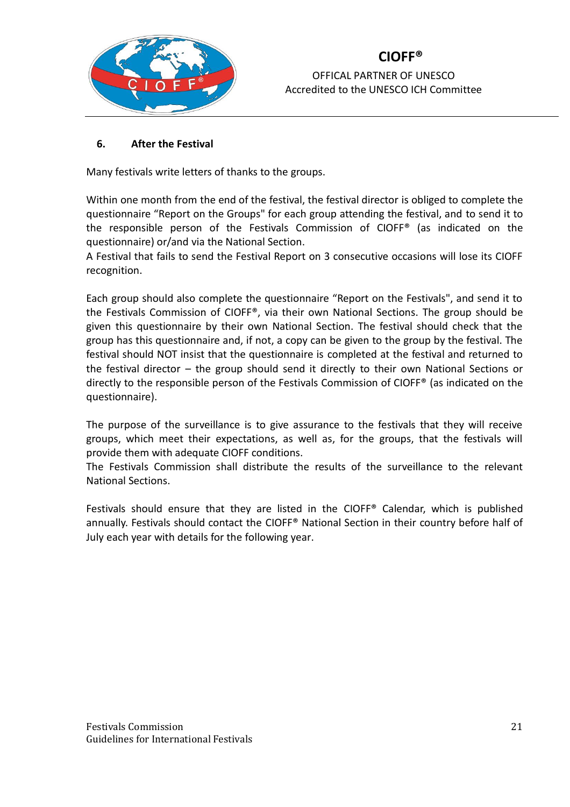

OFFICAL PARTNER OF UNESCO Accredited to the UNESCO ICH Committee

### <span id="page-20-0"></span>**6. After the Festival**

Many festivals write letters of thanks to the groups.

Within one month from the end of the festival, the festival director is obliged to complete the questionnaire "Report on the Groups" for each group attending the festival, and to send it to the responsible person of the Festivals Commission of CIOFF® (as indicated on the questionnaire) or/and via the National Section.

A Festival that fails to send the Festival Report on 3 consecutive occasions will lose its CIOFF recognition.

Each group should also complete the questionnaire "Report on the Festivals", and send it to the Festivals Commission of CIOFF®, via their own National Sections. The group should be given this questionnaire by their own National Section. The festival should check that the group has this questionnaire and, if not, a copy can be given to the group by the festival. The festival should NOT insist that the questionnaire is completed at the festival and returned to the festival director – the group should send it directly to their own National Sections or directly to the responsible person of the Festivals Commission of CIOFF® (as indicated on the questionnaire).

The purpose of the surveillance is to give assurance to the festivals that they will receive groups, which meet their expectations, as well as, for the groups, that the festivals will provide them with adequate CIOFF conditions.

The Festivals Commission shall distribute the results of the surveillance to the relevant National Sections.

Festivals should ensure that they are listed in the CIOFF® Calendar, which is published annually. Festivals should contact the CIOFF® National Section in their country before half of July each year with details for the following year.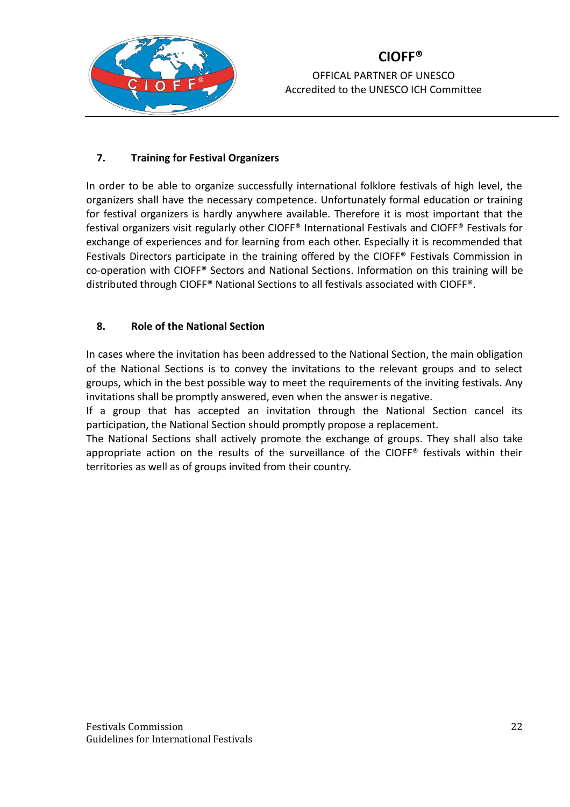

#### OFFICAL PARTNER OF UNESCO Accredited to the UNESCO ICH Committee

### <span id="page-21-0"></span>**7. Training for Festival Organizers**

In order to be able to organize successfully international folklore festivals of high level, the organizers shall have the necessary competence. Unfortunately formal education or training for festival organizers is hardly anywhere available. Therefore it is most important that the festival organizers visit regularly other CIOFF® International Festivals and CIOFF® Festivals for exchange of experiences and for learning from each other. Especially it is recommended that Festivals Directors participate in the training offered by the CIOFF® Festivals Commission in co-operation with CIOFF® Sectors and National Sections. Information on this training will be distributed through CIOFF® National Sections to all festivals associated with CIOFF®.

### <span id="page-21-1"></span>**8. Role of the National Section**

In cases where the invitation has been addressed to the National Section, the main obligation of the National Sections is to convey the invitations to the relevant groups and to select groups, which in the best possible way to meet the requirements of the inviting festivals. Any invitations shall be promptly answered, even when the answer is negative.

If a group that has accepted an invitation through the National Section cancel its participation, the National Section should promptly propose a replacement.

The National Sections shall actively promote the exchange of groups. They shall also take appropriate action on the results of the surveillance of the CIOFF® festivals within their territories as well as of groups invited from their country.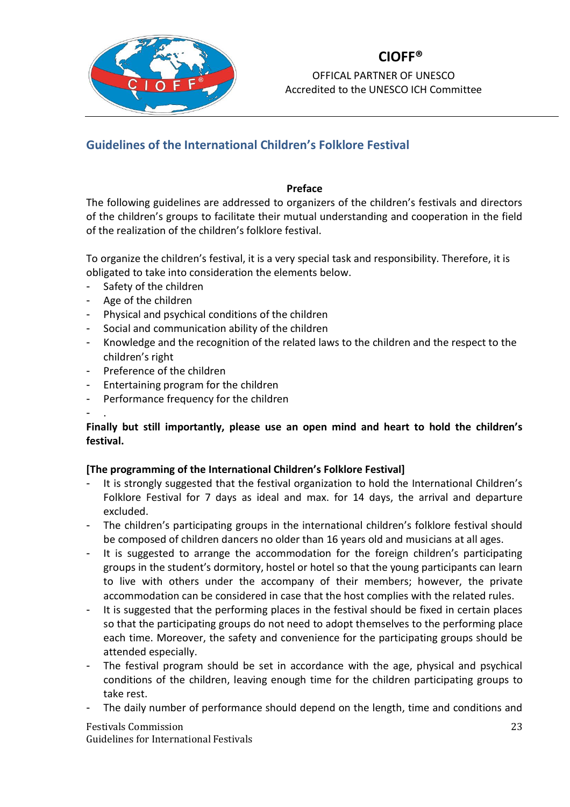

OFFICAL PARTNER OF UNESCO Accredited to the UNESCO ICH Committee

## <span id="page-22-0"></span>**Guidelines of the International Children's Folklore Festival**

### **Preface**

The following guidelines are addressed to organizers of the children's festivals and directors of the children's groups to facilitate their mutual understanding and cooperation in the field of the realization of the children's folklore festival.

To organize the children's festival, it is a very special task and responsibility. Therefore, it is obligated to take into consideration the elements below.

- Safety of the children
- Age of the children
- Physical and psychical conditions of the children
- Social and communication ability of the children
- Knowledge and the recognition of the related laws to the children and the respect to the children's right
- Preference of the children
- Entertaining program for the children
- Performance frequency for the children

#### - .

### **Finally but still importantly, please use an open mind and heart to hold the children's festival.**

#### **[The programming of the International Children's Folklore Festival]**

- It is strongly suggested that the festival organization to hold the International Children's Folklore Festival for 7 days as ideal and max. for 14 days, the arrival and departure excluded.
- The children's participating groups in the international children's folklore festival should be composed of children dancers no older than 16 years old and musicians at all ages.
- It is suggested to arrange the accommodation for the foreign children's participating groups in the student's dormitory, hostel or hotel so that the young participants can learn to live with others under the accompany of their members; however, the private accommodation can be considered in case that the host complies with the related rules.
- It is suggested that the performing places in the festival should be fixed in certain places so that the participating groups do not need to adopt themselves to the performing place each time. Moreover, the safety and convenience for the participating groups should be attended especially.
- The festival program should be set in accordance with the age, physical and psychical conditions of the children, leaving enough time for the children participating groups to take rest.
- The daily number of performance should depend on the length, time and conditions and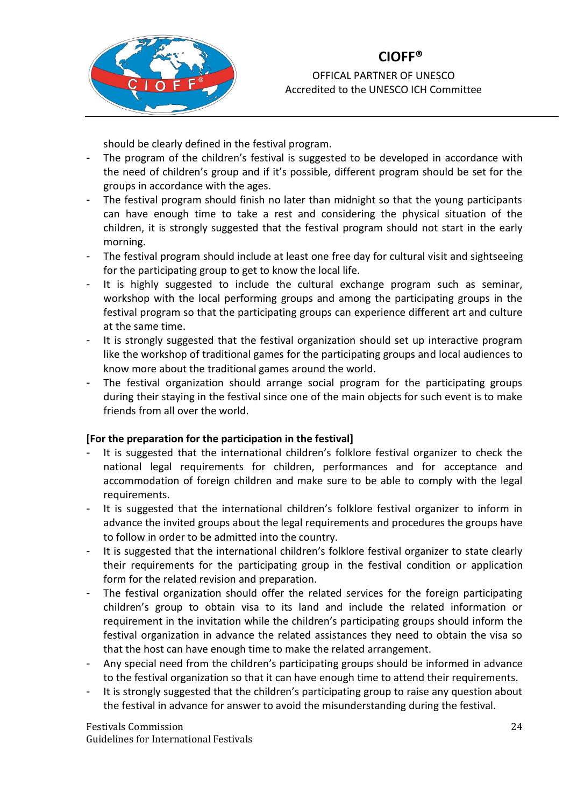

OFFICAL PARTNER OF UNESCO Accredited to the UNESCO ICH Committee

should be clearly defined in the festival program.

- The program of the children's festival is suggested to be developed in accordance with the need of children's group and if it's possible, different program should be set for the groups in accordance with the ages.
- The festival program should finish no later than midnight so that the young participants can have enough time to take a rest and considering the physical situation of the children, it is strongly suggested that the festival program should not start in the early morning.
- The festival program should include at least one free day for cultural visit and sightseeing for the participating group to get to know the local life.
- It is highly suggested to include the cultural exchange program such as seminar, workshop with the local performing groups and among the participating groups in the festival program so that the participating groups can experience different art and culture at the same time.
- It is strongly suggested that the festival organization should set up interactive program like the workshop of traditional games for the participating groups and local audiences to know more about the traditional games around the world.
- The festival organization should arrange social program for the participating groups during their staying in the festival since one of the main objects for such event is to make friends from all over the world.

### **[For the preparation for the participation in the festival]**

- It is suggested that the international children's folklore festival organizer to check the national legal requirements for children, performances and for acceptance and accommodation of foreign children and make sure to be able to comply with the legal requirements.
- It is suggested that the international children's folklore festival organizer to inform in advance the invited groups about the legal requirements and procedures the groups have to follow in order to be admitted into the country.
- It is suggested that the international children's folklore festival organizer to state clearly their requirements for the participating group in the festival condition or application form for the related revision and preparation.
- The festival organization should offer the related services for the foreign participating children's group to obtain visa to its land and include the related information or requirement in the invitation while the children's participating groups should inform the festival organization in advance the related assistances they need to obtain the visa so that the host can have enough time to make the related arrangement.
- Any special need from the children's participating groups should be informed in advance to the festival organization so that it can have enough time to attend their requirements.
- It is strongly suggested that the children's participating group to raise any question about the festival in advance for answer to avoid the misunderstanding during the festival.

Festivals Commission Guidelines for International Festivals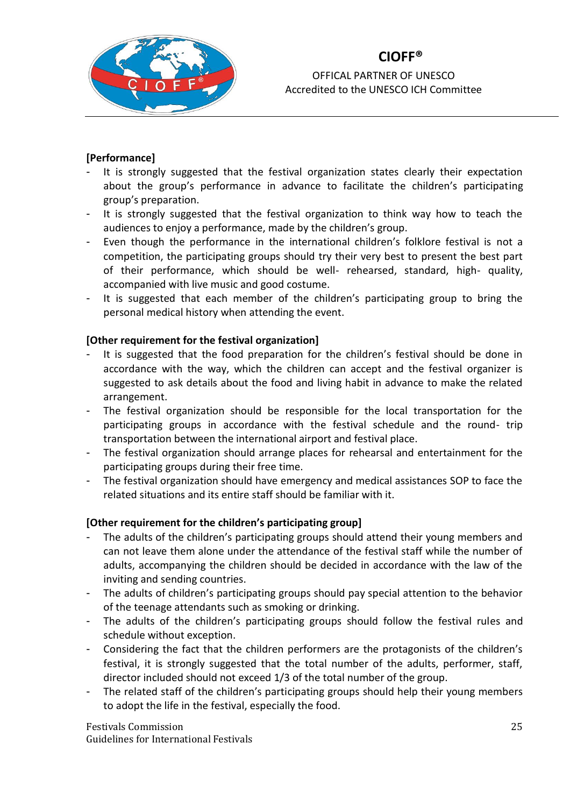

OFFICAL PARTNER OF UNESCO Accredited to the UNESCO ICH Committee

### **[Performance]**

- It is strongly suggested that the festival organization states clearly their expectation about the group's performance in advance to facilitate the children's participating group's preparation.
- It is strongly suggested that the festival organization to think way how to teach the audiences to enjoy a performance, made by the children's group.
- Even though the performance in the international children's folklore festival is not a competition, the participating groups should try their very best to present the best part of their performance, which should be well- rehearsed, standard, high- quality, accompanied with live music and good costume.
- It is suggested that each member of the children's participating group to bring the personal medical history when attending the event.

### **[Other requirement for the festival organization]**

- It is suggested that the food preparation for the children's festival should be done in accordance with the way, which the children can accept and the festival organizer is suggested to ask details about the food and living habit in advance to make the related arrangement.
- The festival organization should be responsible for the local transportation for the participating groups in accordance with the festival schedule and the round- trip transportation between the international airport and festival place.
- The festival organization should arrange places for rehearsal and entertainment for the participating groups during their free time.
- The festival organization should have emergency and medical assistances SOP to face the related situations and its entire staff should be familiar with it.

### **[Other requirement for the children's participating group]**

- The adults of the children's participating groups should attend their young members and can not leave them alone under the attendance of the festival staff while the number of adults, accompanying the children should be decided in accordance with the law of the inviting and sending countries.
- The adults of children's participating groups should pay special attention to the behavior of the teenage attendants such as smoking or drinking.
- The adults of the children's participating groups should follow the festival rules and schedule without exception.
- Considering the fact that the children performers are the protagonists of the children's festival, it is strongly suggested that the total number of the adults, performer, staff, director included should not exceed 1/3 of the total number of the group.
- The related staff of the children's participating groups should help their young members to adopt the life in the festival, especially the food.

Festivals Commission Guidelines for International Festivals